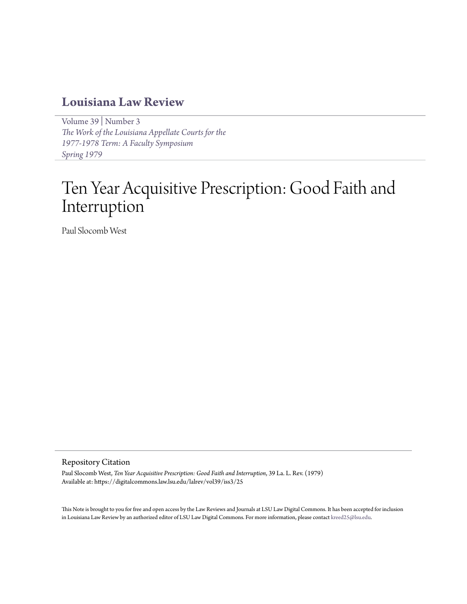# **[Louisiana Law Review](https://digitalcommons.law.lsu.edu/lalrev)**

[Volume 39](https://digitalcommons.law.lsu.edu/lalrev/vol39) | [Number 3](https://digitalcommons.law.lsu.edu/lalrev/vol39/iss3) *[The Work of the Louisiana Appellate Courts for the](https://digitalcommons.law.lsu.edu/lalrev/vol39/iss3) [1977-1978 Term: A Faculty Symposium](https://digitalcommons.law.lsu.edu/lalrev/vol39/iss3) [Spring 1979](https://digitalcommons.law.lsu.edu/lalrev/vol39/iss3)*

# Ten Year Acquisitive Prescription: Good Faith and Interruption

Paul Slocomb West

#### Repository Citation

Paul Slocomb West, *Ten Year Acquisitive Prescription: Good Faith and Interruption*, 39 La. L. Rev. (1979) Available at: https://digitalcommons.law.lsu.edu/lalrev/vol39/iss3/25

This Note is brought to you for free and open access by the Law Reviews and Journals at LSU Law Digital Commons. It has been accepted for inclusion in Louisiana Law Review by an authorized editor of LSU Law Digital Commons. For more information, please contact [kreed25@lsu.edu](mailto:kreed25@lsu.edu).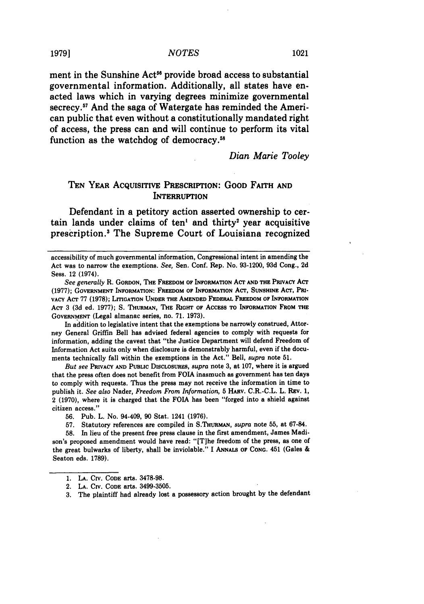ment in the Sunshine Act<sup>56</sup> provide broad access to substantial governmental information. Additionally, all states have enacted laws which in varying degrees minimize governmental secrecy.57 And the saga of Watergate has reminded the American public that even without a constitutionally mandated right of access, the press can and will continue to perform its vital function as the watchdog of democracy.58

*Dian Marie Tooley*

## **TEN** YEAR AcQuIsrrIvE PRESCRIPTION: GOOD FAITH **AND INTERRUPTION**

Defendant in a petitory action asserted ownership to certain lands under claims of ten' and thirty' year acquisitive prescription.' The Supreme Court of Louisiana recognized

In addition to legislative intent that the exemptions be narrowly construed, Attorney General Griffin Bell has advised federal agencies to comply with requests for information, adding the caveat that "the Justice Department will defend Freedom of Information Act suits only when disclosure is demonstrably harmful, even if the documents technically fall within the exemptions in the Act." Bell, *supra* note **51.**

*But see* **PRIVACY AND PUBLIC** DISCLOSURES, *supra* note **3,** at 107, where it is argued that the press often does not benefit from FOIA inasmuch as government has ten days to comply with requests. Thus the press may not receive the information in time to publish it. *See also* Nader, *Freedom From Information,* **5** HARv. C.R.-C.L. L. **REV. 1,** 2 **(1970),** where it is charged that the **FOIA** has been "forged into a shield against citizen access."

**56.** Pub. L. No. 94-409, **90** Stat. 1241 **(1976).**

**57.** Statutory references are compiled in S.THURMAN, *supra* note **55,** at 67-84.

**58.** In lieu of the present free press clause in the first amendment, James Madison's proposed amendment would have read: **"[T]he** freedom of the press, as one of the great bulwarks of liberty, shall be inviolable." **I ANNALS OF CONG.** 451 (Gales **&** Seaton eds. **1789).**

accessibility of much governmental information, Congressional intent in amending the Act was to narrow the exemptions. See, Sen. Conf. Rep. No. **93-1200, 93d** Cong., **2d** Sess. 12 (1974).

See *generally* R. GORDON, **THE** FREEDOM **OF INFORMATION** ACT **AND THE PRIVACY** ACT **(1977); GOVERNMENT INFORMATION: FREEDOM** OF **INFORMATION** ACT, **SUNSHINE** ACr, **Pi-VACY** ACT **77 (1978);** LITIGATION **UNDER THE AMENDED FEDERAL** FREEDOM **OF** INFORMATION **ACT** 3 **(3d ed. 1977); S. THURMAN, THE RIGHT** OF **ACCESS** TO **INFORMATION FROM THE GOVERNMENT** (Legal almanac series, no. **71. 1973).**

**<sup>1.</sup> LA. CIv. CODE** arts. **3478-98.**

<sup>2.</sup> **LA. CIv. CODE** arts. **3499-3505.**

**<sup>3.</sup>** The plaintiff had already lost a possessory action brought **by** the defendant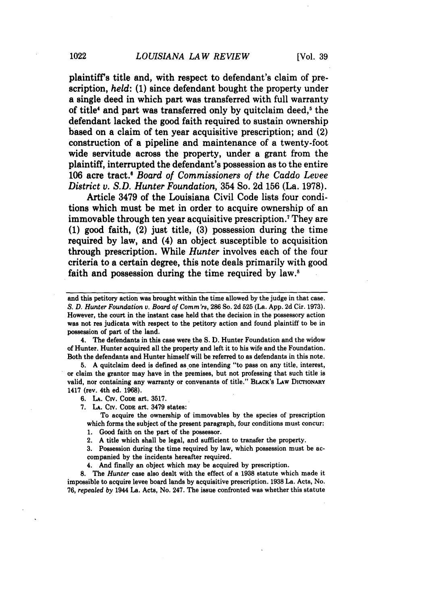plaintiff's title and, with respect to defendant's claim of prescription, *held:* **(1)** since defendant bought the property under a single deed in which part was transferred with full warranty of title' and part was transferred only **by** quitclaim deed,5 the defendant lacked the good faith required to sustain ownership based on a claim of ten year acquisitive prescription; and (2) construction of a pipeline and maintenance of a twenty-foot wide servitude across the property, under a grant from the plaintiff, interrupted the defendant's possession as to the entire **106** acre tract. *Board of Commissioners of the Caddo Levee District v. S.D. Hunter Foundation,* 354 So. **2d 156** (La. **1978).**

Article **3479** of the Louisiana Civil Code lists four conditions which must be met in order to acquire ownership of an immovable through ten year acquisitive prescription.7 They are **(1)** good faith, (2) just title, **(3)** possession during the time required **by** law, and (4) an object susceptible to acquisition through prescription. While *Hunter* involves each of the four criteria to a certain degree, this note deals primarily with good faith and possession during the time required **by** law.'

4. The defendants in this case were the S. D. Hunter Foundation and the widow of Hunter. Hunter acquired all the property and left it to his wife and the Foundation. Both the defendants and Hunter himself will be referred to as defendants in this note.

**5.** A quitclaim deed is defined as one intending "to pass on any title, interest, or claim the grantor may have in the premises, but not professing that such title is valid, nor containing any warranty or convenants of title." BLACK's LAw DICTIONARY 1417 (rev. 4th ed. **1968).**

**6. LA.** Civ. **CODE** art. **3517.**

**7. LA.** CIv. **CoDE** art. **3479** states:

To acquire the ownership of immovables by the species of prescription which forms the subject of the present paragraph, four conditions must concur:

1. Good faith on the part of the possessor.

2. A title which shall be legal, and sufficient to transfer the property.

**3.** Possession during the time required by law, which possession must be accompanied by the incidents hereafter required.

4. And finally an object which may be acquired by prescription.

*8.* The *Hunter* case also dealt with the effect of a **1938** statute which made it impossible to acquire levee board lands by acquisitive prescription. **1938** La. Acts, No. 76, *repealed by* 1944 La. Acts, No. 247. The issue confronted was whether this statute

and this petitory action was brought within the time allowed by the judge in that case. *S. D. Hunter Foundation v. Board of Corm'rs,* **286** So. **2d** 525 (La. App. **2d** Cir. **1973).** However, the court in the instant case held that the decision in the possessory action was not res judicata with respect to the petitory action and found plaintiff to be in possession of part of the land.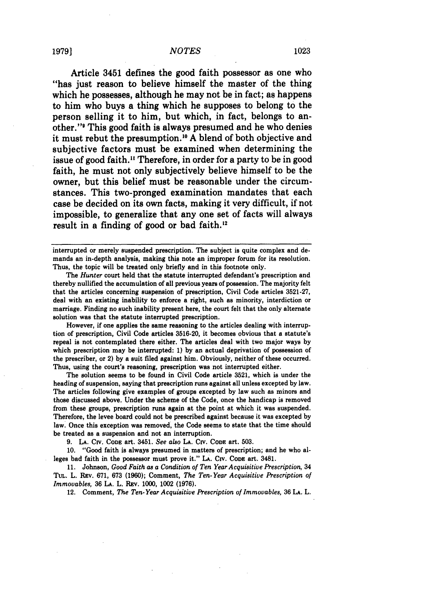Article 3451 defines the good faith possessor as one who "has just reason to believe himself the master of the thing which he possesses, although he may not be in fact; as happens to him who buys a thing which he supposes to belong to the person selling it to him, but which, in fact, belongs to another.'" This good faith is always presumed and he who denies it must rebut the presumption. <sup>0</sup>**A** blend of both objective and subjective factors must be examined when determining the issue of good faith." Therefore, in order for a party to be in good faith, he must not only subjectively believe himself to be the owner, but this belief must be reasonable under the circumstances. This two-pronged examination mandates that each case be decided on its own facts, making it very difficult, if not impossible, to generalize that any one set of facts will always result in a finding of good or bad faith."

interrupted or merely suspended prescription. The subject is quite complex and **de**mands an in-depth analysis, making this note an improper forum for its resolution. Thus, the topic will be treated only briefly and in this footnote only.

The *Hunter* court held that the statute interrupted defendant's prescription and thereby nullified the accumulation of all previous years of possession. The majority felt that the articles concerning suspension of prescription, Civil Code articles **3521-27,** deal with an existing inability to enforce a right, such as minority, interdiction or marriage. Finding no such inability present here, the court felt that the only alternate solution was that the statute interrupted prescription.

However, if one applies the same reasoning to the articles dealing with interruption of prescription, Civil Code articles **3516-20,** it becomes obvious that **a** statute's repeal is not contemplated there either. The articles deal with two major ways **by** which prescription may be interrupted: **1) by** an actual deprivation of possession of the prescriber, or 2) **by** a suit filed against him. Obviously, neither of these occurred. Thus, using the court's reasoning, prescription was not interrupted either.

The solution seems to be found in Civil Code article **3521,** which is under the heading of suspension, saying that prescription runs against all unless excepted **by** law. The articles following give examples of groups excepted **by** law such as minors and those discussed above. Under the scheme of the Code, once the handicap is removed from these groups, prescription runs again at the point at which it was suspended. Therefore, the levee board could not be prescribed against because it was excepted **by** law. Once this exception was removed, the Code seems to state that the time should be treated as a suspension and not an interruption.

**9. LA.** CMv. **CODE** art. 3451. *See also* **LA. CIv. CODE** art. **503.**

**10.** "Good faith is always presumed in matters of prescription; and he who alleges bad faith in the possessor must prove it." **LA. Cv. CODE** art. 3481.

**11.** Johnson, *Good Faith as a Condition of Ten Year Acquisitive Prescription,* 34 TuL. L. **REv. 671, 673 (1960);** Comment, *The Ten-Year Acquisitive Prescription of Immovables, 36 LA. L. REV. 1000, 1002 (1976).* 

12. Comment, *The Ten-Year Acquisitive Prescription of Immovables,* **36 LA.** L.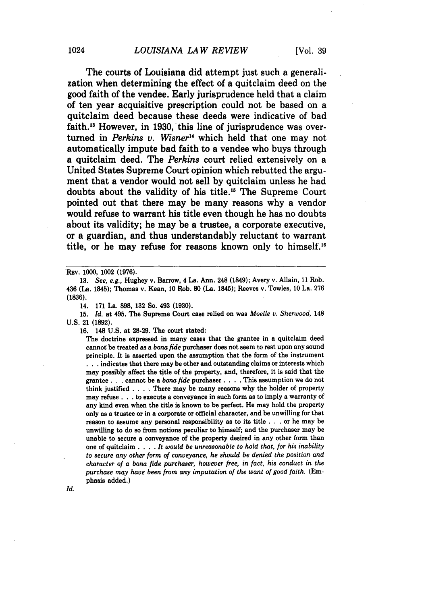The courts of Louisiana did attempt just such a generalization when determining the effect of a quitclaim deed on the good faith of the vendee. Early jurisprudence held that a claim of ten year acquisitive prescription could not be based on a quitclaim deed because these deeds were indicative of bad faith.'3 However, in 1930, this line of jurisprudence was overturned in *Perkins v. Wisner"* which held that one may not automatically impute bad faith to a vendee who buys through a quitclaim deed. The *Perkins* court relied extensively on a United States Supreme Court opinion which rebutted the argument that a vendor would not sell **by** quitclaim unless he had doubts about the validity of his title.'5 The Supreme Court pointed out that there may be many reasons why a vendor would refuse to warrant his title even though he has no doubts about its validity; he may be a trustee, a corporate executive, or a guardian, and thus understandably reluctant to warrant title, or he may refuse for reasons known only to himself.<sup>16</sup>

REV. 1000, 1002 (1976).

14. 171 La. **898, 132** So. 493 **(1930).**

15. *Id.* at 495. The Supreme Court case relied on was *Moelle v. Sherwood,* 148 U.S. 21 **(1892).**

**16.** 148 U.S. at **28-29.** The court stated:

The doctrine expressed in many cases that the grantee in a quitclaim deed cannot be treated as a bona *fide* purchaser does not seem to rest upon any sound principle. It is asserted upon the assumption that the form of the instrument **. . .** indicates that there **may** be other and outstanding claims or interests which may possibly affect the title of the property, and, therefore, it is said that the grantee **. . .** cannot be a bona *fide* purchaser. . **.** . This assumption we do not think justified . **. .** . There may be many reasons why the holder of property may refuse **. . .** to execute a conveyance in such form as to imply a warranty of any kind even when the title is known to be perfect. He may hold the property only as a trustee or in **a corporate** or official character, and be unwilling for that reason to assume any personal responsibility as to its title . . . or he may be unwilling to do so from notions peculiar to himself; and the purchaser may be unable to secure a conveyance of the property desired in any other form than one of quitclaim . **. .** . *It would be unreasonable to hold that, for his inability to secure any other form of conveyance, he should be denied the position and character of a bona fide purchaser, however free, in fact, his conduct in the purchase may have been from any imputation of the want of good faith.* (Emphasis added.)

Id.

<sup>13.</sup> *See, e.g.,* Hughey v. Barrow, 4 La. Ann. 248 (1849); Avery v. Allain, 11 Rob. 436 (La. 1845); Thomas v. Kean, 10 Rob. **80** (La. 1845); Reeves v. Towles, 10 La. 276 **(1836).**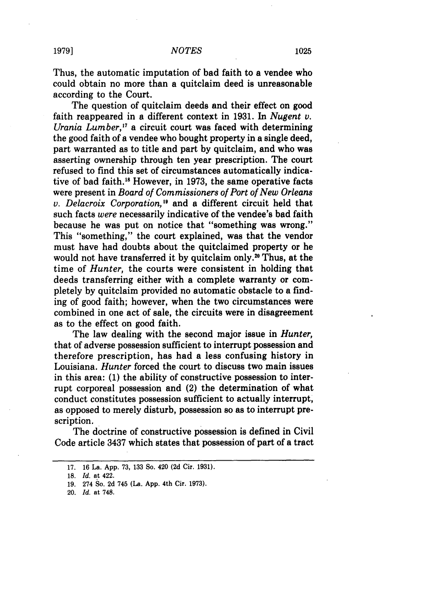Thus, the automatic imputation of bad faith to a vendee who could obtain no more than a quitclaim deed is unreasonable according to the Court.

The question of quitclaim deeds and their effect on good faith reappeared in a different context in **1931.** In *Nugent v. Urania Lumber,'7* a circuit court was faced with determining the good faith of a vendee who bought property in a single deed, part warranted as to title and part by quitclaim, and who was asserting ownership through ten year prescription. The court refused to find this set of circumstances automatically indicative of bad faith."8 However, in 1973, the same operative facts were present in *Board of Commissioners of Port of New Orleans* v. *Delacroix Corporation,"* and a different circuit held that such facts *were* necessarily indicative of the vendee's bad faith because he was put on notice that "something was wrong." This "something," the court explained, was that the vendor must have had doubts about the quitclaimed property or he would not have transferred it by quitclaim only.<sup>20</sup> Thus, at the time of *Hunter,* the courts were consistent in holding that deeds transferring either with a complete warranty or completely by quitclaim provided no automatic obstacle to a finding of good faith; however, when the two circumstances were combined in one act of sale, the circuits were in disagreement as to the effect on good faith.

The law dealing with the second major issue in *Hunter,* that of adverse possession sufficient to interrupt possession and therefore prescription, has had a less confusing history in Louisiana. *Hunter* forced the court to discuss two main issues in this area: (1) the ability of constructive possession to interrupt corporeal possession and (2) the determination of what conduct constitutes possession sufficient to actually interrupt, as opposed to merely disturb, possession so as to interrupt prescription.

The doctrine of constructive possession is defined in Civil Code article 3437 which states that possession of part of a tract

<sup>17. 16</sup> La. App. 73, 133 So. 420 **(2d** Cir. 1931).

<sup>18.</sup> *Id.* at 422.

<sup>19. 274</sup> So. 2d 745 (La. App. 4th Cir. 1973).

<sup>20.</sup> *Id.* at 748.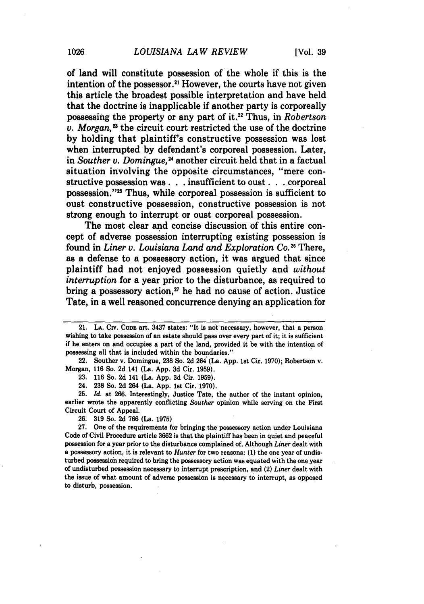of land will constitute possession of the whole if this is the intention of the possessor.<sup>21</sup> However, the courts have not given this article the broadest possible interpretation and have held that the doctrine is inapplicable if another party is corporeally possessing the property or any part of **it.22** Thus, in *Robertson*  $v.$  *Morgan*,<sup>23</sup> the circuit court restricted the use of the doctrine **by** holding that plaintiff's constructive possession was lost when interrupted **by** defendant's corporeal possession. Later, in *Souther v. Domingue,24* another circuit held that in a factual situation involving the opposite circumstances, "mere constructive possession was. **. .** insufficient to oust. **. .** corporeal possession."<sup>25</sup> Thus, while corporeal possession is sufficient to oust constructive possession, constructive possession is not strong enough to interrupt or oust corporeal possession.

The most clear and concise discussion of this entire concept of adverse possession interrupting existing possession is found in *Liner* **v.** *Louisiana Land and Exploration Co."* There, as a defense to a possessory action, it was argued that since plaintiff had not enjoyed possession quietly and *without interruption* for a year prior to the disturbance, as required to bring a possessory action, $z<sup>7</sup>$  he had no cause of action. Justice Tate, in a well reasoned concurrence denying an application for

22. Souther v. Dorningue, **238** So. **2d** 264 (La. **App. 1st** Cir. **1970);** Robertson v. Morgan, **116** So. **2d** 141 (La. **App. 3d** Cir. **1959).**

24. **238** So. **2d** 264 (La. **App. 1st** Cir. **1970).**

25. *Id.* at **266.** Interestingly, Justice Tate, the author of the instant opinion, earlier wrote the apparently conflicting *Souther* opinion while serving on the First Circuit Court of Appeal.

**26. 319** So. **2d 766** (La. **1975)**

**27.** One of the requirements for bringing the possessory action under Louisiana Code of Civil Procedure article **3662** is that the plaintiff has been in quiet and peaceful possession for a year prior to the disturbance complained of. Although *Liner* dealt with a possessory action, it is relevant to *Hunter* for two reasons: **(1)** the one year of undisturbed possession required to bring the possessory action was equated with the one year of undisturbed possession necessary to interrupt prescription, and (2) *Liner* dealt with the issue of what amount of adverse possession is necessary to interrupt, as opposed to disturb, possession.

<sup>21.</sup> **LA. CIv. CODE** art. **3437** states: "It is not necessary, however, that a person wishing to take possession of an estate should pass over every part of it; it is sufficient if he enters on and occupies a part of the land, provided it be with the intention of possessing all that is included within the boundaries."

**<sup>23.</sup> 116** So. **2d** 141 (La. **App. 3d** Cir. **1959).**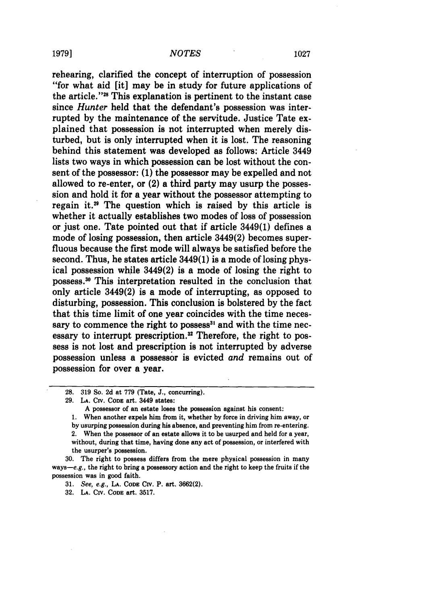### **1979]** *NOTES* **1027**

rehearing, clarified the concept of interruption of possession "for what aid [it] may be in study for future applications of the article."28 This explanation is pertinent to the instant case since *Hunter* held that the defendant's possession was interrupted by the maintenance of the servitude. Justice Tate explained that possession is not interrupted when merely disturbed, but is only interrupted when it is lost. The reasoning behind this statement was developed as follows: Article 3449 lists two ways in which possession can be lost without the consent of the possessor: **(1)** the possessor may be expelled and not allowed to re-enter, or (2) a third party may usurp the possession and hold it for a year without the possessor attempting to regain it.<sup>29</sup> The question which is raised by this article is whether it actually establishes two modes of loss of possession or just one. Tate pointed out that if article 3449(1) defines a mode of losing possession, then article 3449(2) becomes superfluous because the first mode will always be satisfied before the second. Thus, he states article 3449(1) is a mode of losing physical possession while 3449(2) is a mode of losing the right to possess.<sup>30</sup> This interpretation resulted in the conclusion that only article 3449(2) is a mode of interrupting, as opposed to disturbing, possession. This conclusion is bolstered by the fact that this time limit of one year coincides with the time necessary to commence the right to possess<sup>31</sup> and with the time necessary to interrupt prescription.<sup>32</sup> Therefore, the right to possess is not lost and prescription is not interrupted by adverse possession unless a possessor is evicted *and* remains out of possession for over a year.

**31.** See, e.g., **LA. CODE** CIv. P. art. **3662(2).**

**32. LA. CIv. CODE** art. **3517.**

**<sup>28. 319</sup>** So. **2d** at **779** (Tate, J., concurring).

**<sup>29.</sup> LA. CIv.** CODE art. 3449 states:

**A** possessor of an estate **loses** the possession against his consent:

**<sup>1.</sup>** When another expels him from it, whether **by** force in driving him away, or **by** usurping possession during his absence, and preventing him from re-entering.

<sup>2.</sup> When the possessor of an estate allows it to be usurped and held for a year, without, during that time, having done any act of possession, or interfered with the usurper's possession.

**<sup>30.</sup>** The right to possess differs from the mere physical possession in many ways-e.g., the right to bring a possessory action and the right to keep the fruits if the possession was in good faith.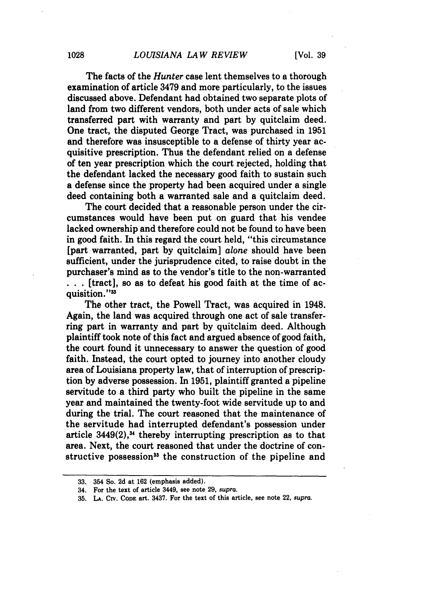The facts of the *Hunter* case lent themselves to a thorough examination of article **3479** and more particularly, to the issues discussed above. Defendant had obtained two separate plots of land from two different vendors, both under acts of sale which transferred part with warranty and part by quitclaim deed. One tract, the disputed George Tract, was purchased in **1951** and therefore was insusceptible to a defense of thirty year acquisitive prescription. Thus the defendant relied on a defense of ten year prescription which the court rejected, holding that the defendant lacked the necessary good faith to sustain such a defense since the property had been acquired under a single deed containing both a warranted sale and a quitclaim deed.

The court decided that a reasonable person under the circumstances would have been put on guard that his vendee lacked ownership and therefore could not be found to have been in good faith. In this regard the court held, "this circumstance [part warranted, part by quitclaim] *alone* should have been sufficient, under the jurisprudence cited, to raise doubt in the purchaser's mind as to the vendor's title to the non-warranted **. ..** [tract], so as to defeat his good faith at the time of acquisition."<sup>33</sup>

The other tract, the Powell Tract, was acquired in 1948. Again, the land was acquired through one act of sale transferring part in warranty and part by quitclaim deed. Although plaintiff took note of this fact and argued absence of good faith, the court found it unnecessary to answer the question of good faith. Instead, the court opted to journey into another cloudy area of Louisiana property law, that of interruption of prescription by adverse possession. In 1951, plaintiff granted a pipeline servitude to a third party who built the pipeline in the same year and maintained the twenty-foot wide servitude up to and during the trial. The court reasoned that the maintenance of the servitude had interrupted defendant's possession under article  $3449(2)$ ,<sup>34</sup> thereby interrupting prescription as to that area. Next, the court reasoned that under the doctrine of constructive possession<sup>35</sup> the construction of the pipeline and

**<sup>33.</sup>** 354 So. **2d** at **162** (emphasis added).

**<sup>34.</sup>** For the text of article 3449, see note **29,** supra.

**<sup>35,</sup> LA.** Civ. CODE art. **3437.** For the text of this article, see note 22, **supra.**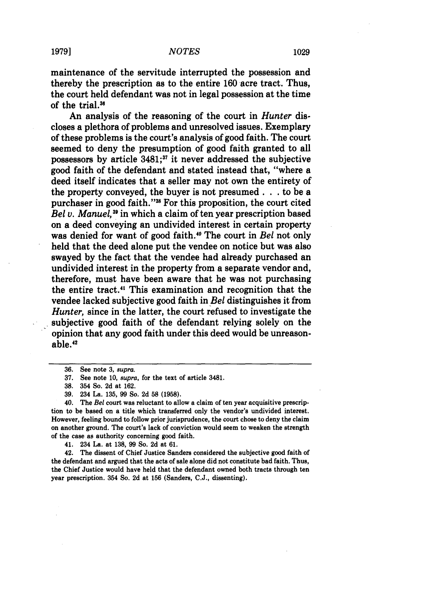maintenance of the servitude interrupted the possession and thereby the prescription as to the entire **160** acre tract. Thus, the court held defendant was not in legal possession at the time of the trial.<sup>36</sup>

An analysis of the reasoning of the court in *Hunter* discloses a plethora of problems and unresolved issues. Exemplary of these problems is the court's analysis of good faith. The court seemed to deny the presumption of good faith granted to all possessors **by** article **3481;37** it never addressed the subjective good faith of the defendant and stated instead that, "where a deed itself indicates that a seller may not own the entirety of the property conveyed, the buyer is not presumed. **. .** to be a purchaser in good faith."<sup>38</sup> For this proposition, the court cited *Bel v. Manuel,"* in which a claim of ten year prescription based on a deed conveying an undivided interest in certain property was denied for want of good faith."0 The court in *Bel* not only held that the deed alone put the vendee on notice but was also swayed by the fact that the vendee had already purchased an undivided interest in the property from a separate vendor and, therefore, must have been aware that he was not purchasing the entire tract." This examination and recognition that the vendee lacked subjective good faith in *Bel* distinguishes it from *Hunter,* since in the latter, the court refused to investigate the subjective good faith of the defendant relying solely on the opinion that any good faith under this deed would be unreasonable.'

41. 234 La. at **138, 99** So. **2d** at **61.**

42. The dissent of Chief Justice Sanders considered the subjective **good** faith of the defendant and argued that the acts of sale alone did not constitute bad faith. Thus, the Chief Justice would have held that the defendant owned both tracts through ten year prescription. 354 So. **2d** at **156** (Sanders, **C.J.,** dissenting).

<sup>36.</sup> See note **3,** *supra.*

**<sup>37.</sup>** See note **10,** *supra,* for the text of article 3481.

**<sup>38.</sup>** 354 So. **2d** at **162.**

**<sup>39.</sup>** 234 La. **135, 99** So. **2d 58 (1958).**

<sup>40.</sup> The Bel court was reluctant to allow a claim of ten year acquisitive prescription to be based on a title which transferred only the vendor's undivided interest. However, feeling bound to follow prior jurisprudence, the court chose to deny the claim on another ground. The court's lack of conviction would seem to weaken the strength of the case as authority concerning good faith.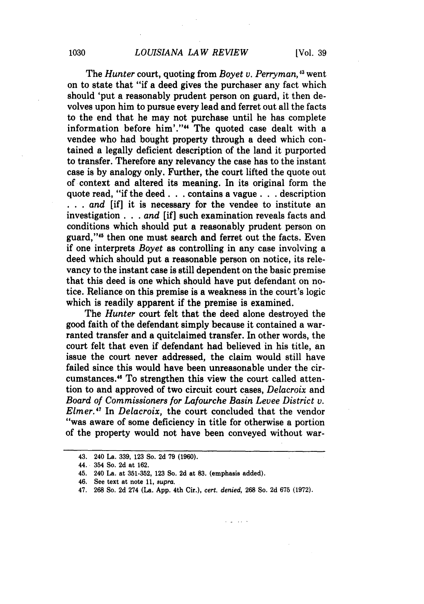The *Hunter* court, quoting from *Boyet v. Perryman*,<sup>43</sup> went on to state that "if a deed gives the purchaser any fact which should 'put a reasonably prudent person on guard, it then devolves upon him to pursue every lead and ferret out all the facts to the end that he may not purchase until he has complete information before him'."" The quoted case dealt with a vendee who had bought property through a deed which contained a legally deficient description of the land it purported to transfer. Therefore any relevancy the case has to the instant case is by analogy only. Further, the court lifted the quote out of context and altered its meaning. In its original form the quote read, "if the deed. **. .** contains a vague. **. .** description *•* **. .** *and* [if] it is necessary for the vendee to institute an investigation. **. .** *and* [if] such examination reveals facts and conditions which should put a reasonably prudent person on guard,"<sup>45</sup> then one must search and ferret out the facts. Even if one interprets *Boyet* as controlling in any case involving a deed which should put a reasonable person on notice, its relevancy to the instant case is still dependent on the basic premise that this deed is one which should have put defendant on notice. Reliance on this premise is a weakness in the court's logic which is readily apparent if the premise is examined.

The *Hunter* court felt that the deed alone destroyed the good faith of the defendant simply because it contained a warranted transfer and a quitclaimed transfer. In other words, the court felt that even if defendant had believed in his title, an issue the court never addressed, the claim would still have failed since this would have been unreasonable under the circumstances." To strengthen this view the court called attention to and approved of two circuit court cases, *Delacroix* and *Board of Commissioners for Lafourche Basin Levee District v. Elmer.'7* In *Delacroix,* the court concluded that the vendor ''was aware of some deficiency in title for otherwise a portion of the property would not have been conveyed without war-

والمتاليات

<sup>43. 240</sup> La. 339, 123 So. 2d 79 **(1960).**

<sup>44. 354</sup> So. 2d at 162.

<sup>45. 240</sup> La. at 351-352, 123 So. 2d at **83.** (emphasis added).

<sup>46.</sup> See text at note 11, *supra.*

<sup>47. 268</sup> So. 2d 274 (La. App. 4th Cir.), *cert. denied,* 268 So. 2d 675 (1972).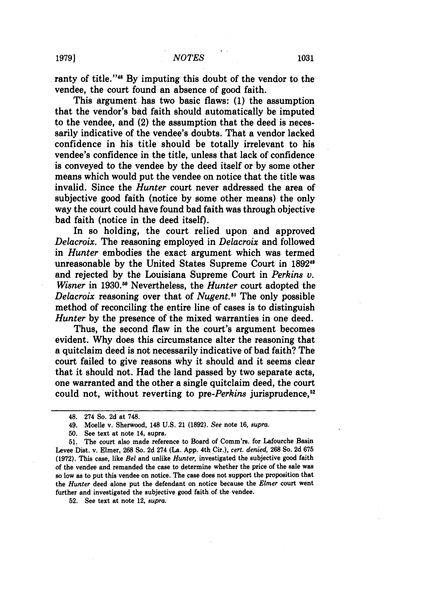ranty of title."<sup>48</sup> By imputing this doubt of the vendor to the vendee, the court found an absence of good faith.

This argument has two basic flaws: (1) the assumption that the vendor's **bad** faith should automatically be imputed to the vendee, and (2) the assumption that the deed is necessarily indicative of the vendee's doubts. That a vendor lacked confidence in his title should be totally irrelevant to his vendee's confidence in the title, unless that lack of confidence is conveyed to the vendee by the deed itself or by some other means which would put the vendee on notice that the title was invalid. Since the *Hunter* court never addressed the area of subjective good faith (notice by some other means) the only way the court could have found bad faith was through objective bad faith (notice in the deed itself).

In so holding, the court relied upon and approved *Delacroix.* The reasoning employed in *Delacroix* and followed in *Hunter* embodies the exact argument which was termed unreasonable by the United States Supreme Court in **189211** and rejected by the Louisiana Supreme Court in *Perkins v. Wisner* in 1930.<sup>50</sup> Nevertheless, the *Hunter* court adopted the *Delacroix* reasoning over that of *Nugent."* The only possible method of reconciling the entire line of cases is to distinguish *Hunter* by the presence of the mixed warranties in one deed.

Thus, the second flaw in the court's argument becomes evident. Why does this circumstance alter the reasoning that a quitclaim deed is not necessarily indicative of bad faith? The court failed to give reasons why it should and it seems clear that it should not. Had the land passed by two separate acts, one warranted and the other a single quitclaim deed, the court could not, without reverting to pre-Perkins jurisprudence,<sup>52</sup>

52. See text at note 12, *supra.*

<sup>48. 274</sup> So. 2d at 748.

<sup>49.</sup> Moelle v. Sherwood, 148 U.S. 21 (1892). *See* note 16, *supra.*

<sup>50.</sup> See text at note 14, supra.

<sup>51.</sup> The court also made reference to Board of Comm'rs. for Lafourche Basin Levee Dist. v. Elmer, 268 So. 2d 274 (La. App. 4th Cir.), *cert. denied,* 268 So. 2d 675 (1972). This case, like *Bel* and unlike *Hunter,* investigated the subjective good faith of the vendee and remanded the case to determine whether the price of the sale was so low as to put this vendee on notice. The case does not support the proposition that the *Hunter* deed alone put the defendant on notice because the *Elmer* court went further and investigated the subjective good faith of the vendee.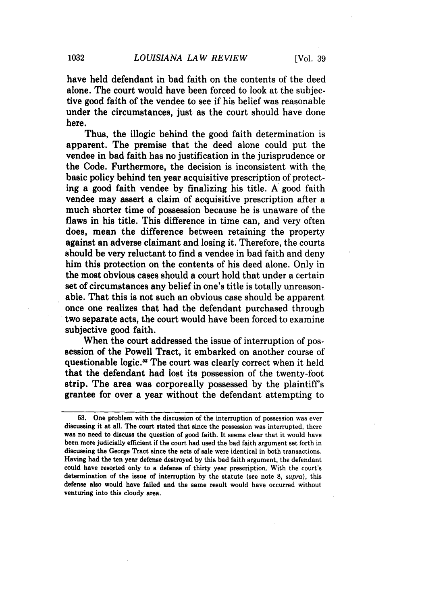have held defendant in bad faith on the contents of the deed alone. The court would have been forced to look at the subjective good faith of the vendee to see if his belief was reasonable under the circumstances, just as the court should have done here.

Thus, the illogic behind the good faith determination is apparent. The premise that the deed alone could put the vendee in bad faith has no justification in the jurisprudence or the Code. Furthermore, the decision is inconsistent with the basic policy behind ten year acquisitive prescription of protecting a good faith vendee by finalizing his title. A good faith vendee may assert a claim of acquisitive prescription after a much shorter time of possession because he is unaware of the flaws in his title. This difference in time can, and very often does, mean the difference between retaining the property against an adverse claimant and losing it. Therefore, the courts should be very reluctant to find a vendee in bad faith and deny him this protection on the contents of his deed alone. Only in the most obvious cases should a court hold that under a certain set of circumstances any belief in one's title is totally unreasonable. That this is not such an obvious case should be apparent once one realizes that had the defendant purchased through two separate acts, the court would have been forced to examine subjective good faith.

When the court addressed the issue of interruption of possession of the Powell Tract, it embarked on another course of questionable logic.<sup>53</sup> The court was clearly correct when it held that the defendant had lost its possession of the twenty-foot strip. The area was corporeally possessed by the plaintiff's grantee for over a year without the defendant attempting to

**<sup>53.</sup>** One problem with the discussion of the interruption of possession was ever discussing it at all. The court stated that since the possession was interrupted, there was no need to discuss the question of good faith. It seems clear that it would have been more judicially efficient if the court had used the bad faith argument set forth in discussing the George Tract since the acts of sale were identical in both transactions. Having had the ten year defense destroyed by this bad faith argument, the defendant could have resorted only to a defense of thirty year prescription. With the court's determination of the issue of interruption by the statute (see note **8,** *supra),* this defense also would have failed and the same result would have occurred without venturing into this cloudy area.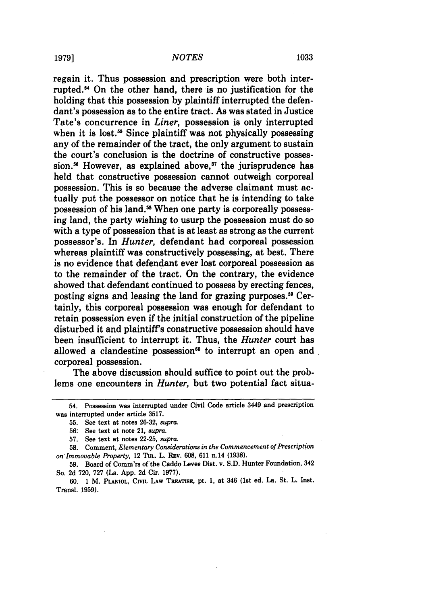regain it. Thus possession and prescription were both interrupted.5' On the other hand, there is no justification for the holding that this possession by plaintiff interrupted the defendant's possession as to the entire tract. As was stated in Justice Tate's concurrence in *Liner,* possession is only interrupted when it is lost.<sup>55</sup> Since plaintiff was not physically possessing any of the remainder of the tract, the only argument to sustain the court's conclusion is the doctrine of constructive possession.<sup>56</sup> However, as explained above,<sup>57</sup> the jurisprudence has held that constructive possession cannot outweigh corporeal possession. This is so because the adverse claimant must actually put the possessor on notice that he is intending to take possession of his land.<sup>58</sup> When one party is corporeally possessing land, the party wishing to usurp the possession must do so with a type of possession that is at least as strong as the current possessor's. In *Hunter,* defendant had corporeal possession whereas plaintiff was constructively possessing, at best. There is no evidence that defendant ever lost corporeal possession as to the remainder of the tract. On the contrary, the evidence showed that defendant continued to possess by erecting fences, posting signs and leasing the land for grazing purposes.<sup>59</sup> Certainly, this corporeal possession was enough for defendant to retain possession even if the initial construction of the pipeline disturbed it and plaintiffs constructive possession should have been insufficient to interrupt it. Thus, the *Hunter* court has allowed a clandestine possession<sup>60</sup> to interrupt an open and corporeal possession.

The above discussion should suffice to point out the problems one encounters in *Hunter,* but two potential fact situa-

<sup>54.</sup> Possession was interrupted under Civil Code article 3449 and prescription was interrupted under article **3517.**

**<sup>55.</sup>** See text at notes **26-32, supra.**

<sup>56:</sup> See text at note 21, *supra.*

**<sup>57.</sup>** See text at notes **22-25,** *supra.*

**<sup>58.</sup>** Comment, *Elementary Considerations in the Commencement of Prescription on Immovable Property,* 12 TtL. L. Rav. 608, 611 n.14 **(1938).**

<sup>59.</sup> Board of Comm'rs of the Caddo Levee Dist. v. S.D. Hunter Foundation, 342 So. 2d 720, 727 (La. App. 2d Cir. 1977).

<sup>60. 1</sup> M. PLANIOL, CIVIL LAW TREATISE, pt. 1, at 346 (1st ed. La. St. L. Inst. Transl. 1959).